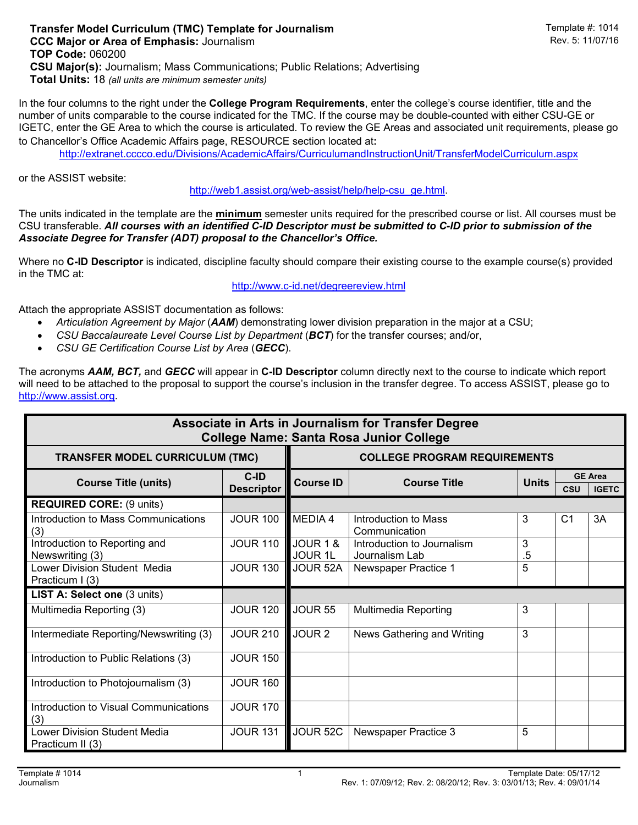In the four columns to the right under the **College Program Requirements**, enter the college's course identifier, title and the number of units comparable to the course indicated for the TMC. If the course may be double-counted with either CSU-GE or IGETC, enter the GE Area to which the course is articulated. To review the GE Areas and associated unit requirements, please go to Chancellor's Office Academic Affairs page, RESOURCE section located at:

http://extranet.cccco.edu/Divisions/AcademicAffairs/CurriculumandInstructionUnit/TransferModelCurriculum.aspx

or the ASSIST website:

http://web1.assist.org/web-assist/help/help-csu\_ge.html.

The units indicated in the template are the **minimum** semester units required for the prescribed course or list. All courses must be CSU transferable. *All courses with an identified C-ID Descriptor must be submitted to C-ID prior to submission of the Associate Degree for Transfer (ADT) proposal to the Chancellor's Office.*

Where no **C-ID Descriptor** is indicated, discipline faculty should compare their existing course to the example course(s) provided in the TMC at:

http://www.c-id.net/degreereview.html

Attach the appropriate ASSIST documentation as follows:

- *Articulation Agreement by Major* (*AAM*) demonstrating lower division preparation in the major at a CSU;
- *CSU Baccalaureate Level Course List by Department* (*BCT*) for the transfer courses; and/or,
- *CSU GE Certification Course List by Area* (*GECC*).

The acronyms *AAM, BCT,* and *GECC* will appear in **C-ID Descriptor** column directly next to the course to indicate which report will need to be attached to the proposal to support the course's inclusion in the transfer degree. To access ASSIST, please go to http://www.assist.org.

| Associate in Arts in Journalism for Transfer Degree<br><b>College Name: Santa Rosa Junior College</b> |                                     |                            |                                              |              |                |                                |  |  |  |  |  |
|-------------------------------------------------------------------------------------------------------|-------------------------------------|----------------------------|----------------------------------------------|--------------|----------------|--------------------------------|--|--|--|--|--|
| <b>TRANSFER MODEL CURRICULUM (TMC)</b>                                                                | <b>COLLEGE PROGRAM REQUIREMENTS</b> |                            |                                              |              |                |                                |  |  |  |  |  |
| <b>Course Title (units)</b>                                                                           | $C-ID$<br><b>Descriptor</b>         | <b>Course ID</b>           | <b>Course Title</b>                          | <b>Units</b> | <b>CSU</b>     | <b>GE Area</b><br><b>IGETC</b> |  |  |  |  |  |
| <b>REQUIRED CORE: (9 units)</b>                                                                       |                                     |                            |                                              |              |                |                                |  |  |  |  |  |
| Introduction to Mass Communications<br>(3)                                                            | <b>JOUR 100</b>                     | MEDIA 4                    | Introduction to Mass<br>Communication        | 3            | C <sub>1</sub> | 3A                             |  |  |  |  |  |
| Introduction to Reporting and<br>Newswriting (3)                                                      | <b>JOUR 110</b>                     | JOUR 1 &<br><b>JOUR 1L</b> | Introduction to Journalism<br>Journalism Lab | 3<br>.5      |                |                                |  |  |  |  |  |
| Lower Division Student Media<br>Practicum I (3)                                                       | <b>JOUR 130</b>                     | JOUR 52A                   | Newspaper Practice 1                         | 5            |                |                                |  |  |  |  |  |
| LIST A: Select one (3 units)                                                                          |                                     |                            |                                              |              |                |                                |  |  |  |  |  |
| Multimedia Reporting (3)                                                                              | <b>JOUR 120</b>                     | <b>JOUR 55</b>             | <b>Multimedia Reporting</b>                  | 3            |                |                                |  |  |  |  |  |
| Intermediate Reporting/Newswriting (3)                                                                | <b>JOUR 210</b>                     | JOUR <sub>2</sub>          | News Gathering and Writing                   | 3            |                |                                |  |  |  |  |  |
| Introduction to Public Relations (3)                                                                  | <b>JOUR 150</b>                     |                            |                                              |              |                |                                |  |  |  |  |  |
| Introduction to Photojournalism (3)                                                                   | <b>JOUR 160</b>                     |                            |                                              |              |                |                                |  |  |  |  |  |
| Introduction to Visual Communications<br>(3)                                                          | <b>JOUR 170</b>                     |                            |                                              |              |                |                                |  |  |  |  |  |
| Lower Division Student Media<br>Practicum II (3)                                                      | <b>JOUR 131</b>                     | JOUR 52C                   | Newspaper Practice 3                         | 5            |                |                                |  |  |  |  |  |